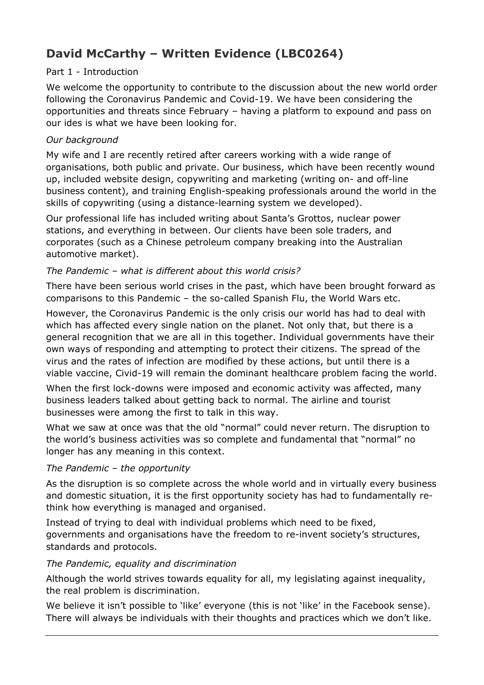# **David McCarthy – Written Evidence (LBC0264)**

## Part 1 - Introduction

We welcome the opportunity to contribute to the discussion about the new world order following the Coronavirus Pandemic and Covid-19. We have been considering the opportunities and threats since February – having a platform to expound and pass on our ides is what we have been looking for.

## *Our background*

My wife and I are recently retired after careers working with a wide range of organisations, both public and private. Our business, which have been recently wound up, included website design, copywriting and marketing (writing on- and off-line business content), and training English-speaking professionals around the world in the skills of copywriting (using a distance-learning system we developed).

Our professional life has included writing about Santa's Grottos, nuclear power stations, and everything in between. Our clients have been sole traders, and corporates (such as a Chinese petroleum company breaking into the Australian automotive market).

## *The Pandemic – what is different about this world crisis?*

There have been serious world crises in the past, which have been brought forward as comparisons to this Pandemic – the so-called Spanish Flu, the World Wars etc.

However, the Coronavirus Pandemic is the only crisis our world has had to deal with which has affected every single nation on the planet. Not only that, but there is a general recognition that we are all in this together. Individual governments have their own ways of responding and attempting to protect their citizens. The spread of the virus and the rates of infection are modified by these actions, but until there is a viable vaccine, Civid-19 will remain the dominant healthcare problem facing the world.

When the first lock-downs were imposed and economic activity was affected, many business leaders talked about getting back to normal. The airline and tourist businesses were among the first to talk in this way.

What we saw at once was that the old "normal" could never return. The disruption to the world's business activities was so complete and fundamental that "normal" no longer has any meaning in this context.

## *The Pandemic – the opportunity*

As the disruption is so complete across the whole world and in virtually every business and domestic situation, it is the first opportunity society has had to fundamentally rethink how everything is managed and organised.

Instead of trying to deal with individual problems which need to be fixed, governments and organisations have the freedom to re-invent society's structures, standards and protocols.

## *The Pandemic, equality and discrimination*

Although the world strives towards equality for all, my legislating against inequality, the real problem is discrimination.

We believe it isn't possible to 'like' everyone (this is not 'like' in the Facebook sense). There will always be individuals with their thoughts and practices which we don't like.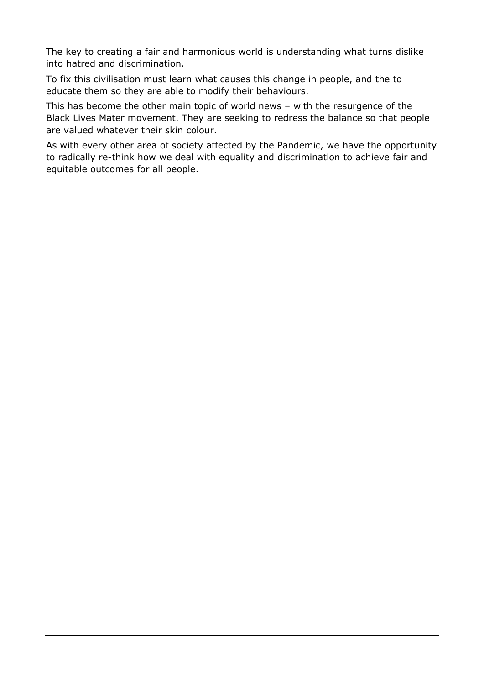The key to creating a fair and harmonious world is understanding what turns dislike into hatred and discrimination.

To fix this civilisation must learn what causes this change in people, and the to educate them so they are able to modify their behaviours.

This has become the other main topic of world news – with the resurgence of the Black Lives Mater movement. They are seeking to redress the balance so that people are valued whatever their skin colour.

As with every other area of society affected by the Pandemic, we have the opportunity to radically re-think how we deal with equality and discrimination to achieve fair and equitable outcomes for all people.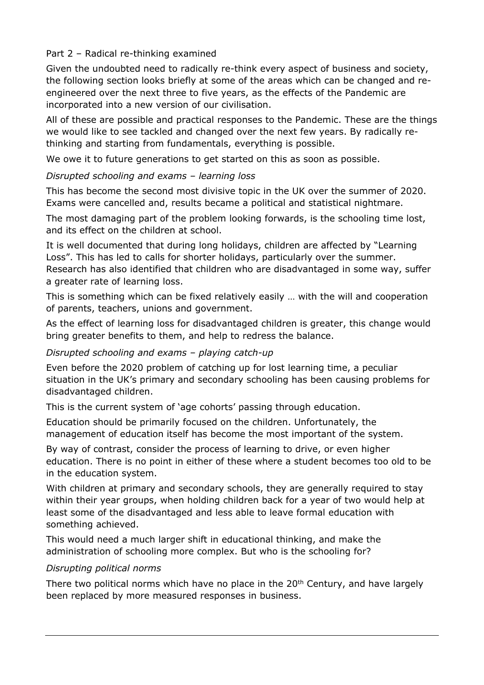## Part 2 – Radical re-thinking examined

Given the undoubted need to radically re-think every aspect of business and society, the following section looks briefly at some of the areas which can be changed and reengineered over the next three to five years, as the effects of the Pandemic are incorporated into a new version of our civilisation.

All of these are possible and practical responses to the Pandemic. These are the things we would like to see tackled and changed over the next few years. By radically rethinking and starting from fundamentals, everything is possible.

We owe it to future generations to get started on this as soon as possible.

#### *Disrupted schooling and exams – learning loss*

This has become the second most divisive topic in the UK over the summer of 2020. Exams were cancelled and, results became a political and statistical nightmare.

The most damaging part of the problem looking forwards, is the schooling time lost, and its effect on the children at school.

It is well documented that during long holidays, children are affected by "Learning Loss". This has led to calls for shorter holidays, particularly over the summer. Research has also identified that children who are disadvantaged in some way, suffer a greater rate of learning loss.

This is something which can be fixed relatively easily … with the will and cooperation of parents, teachers, unions and government.

As the effect of learning loss for disadvantaged children is greater, this change would bring greater benefits to them, and help to redress the balance.

## *Disrupted schooling and exams – playing catch-up*

Even before the 2020 problem of catching up for lost learning time, a peculiar situation in the UK's primary and secondary schooling has been causing problems for disadvantaged children.

This is the current system of 'age cohorts' passing through education.

Education should be primarily focused on the children. Unfortunately, the management of education itself has become the most important of the system.

By way of contrast, consider the process of learning to drive, or even higher education. There is no point in either of these where a student becomes too old to be in the education system.

With children at primary and secondary schools, they are generally required to stay within their year groups, when holding children back for a year of two would help at least some of the disadvantaged and less able to leave formal education with something achieved.

This would need a much larger shift in educational thinking, and make the administration of schooling more complex. But who is the schooling for?

#### *Disrupting political norms*

There two political norms which have no place in the  $20<sup>th</sup>$  Century, and have largely been replaced by more measured responses in business.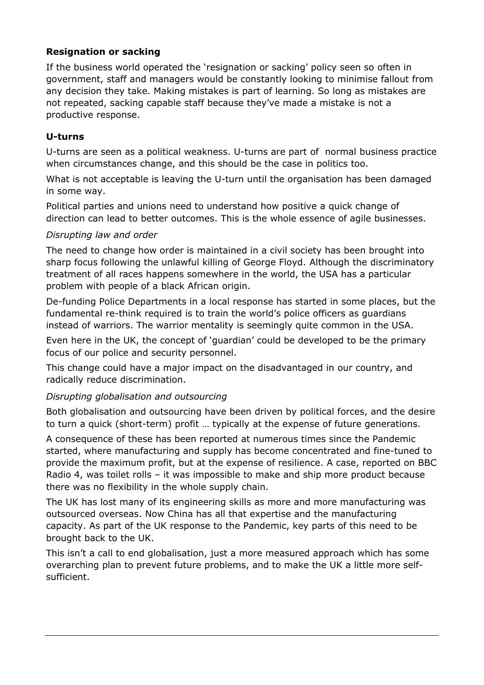# **Resignation or sacking**

If the business world operated the 'resignation or sacking' policy seen so often in government, staff and managers would be constantly looking to minimise fallout from any decision they take. Making mistakes is part of learning. So long as mistakes are not repeated, sacking capable staff because they've made a mistake is not a productive response.

## **U-turns**

U-turns are seen as a political weakness. U-turns are part of normal business practice when circumstances change, and this should be the case in politics too.

What is not acceptable is leaving the U-turn until the organisation has been damaged in some way.

Political parties and unions need to understand how positive a quick change of direction can lead to better outcomes. This is the whole essence of agile businesses.

#### *Disrupting law and order*

The need to change how order is maintained in a civil society has been brought into sharp focus following the unlawful killing of George Floyd. Although the discriminatory treatment of all races happens somewhere in the world, the USA has a particular problem with people of a black African origin.

De-funding Police Departments in a local response has started in some places, but the fundamental re-think required is to train the world's police officers as guardians instead of warriors. The warrior mentality is seemingly quite common in the USA.

Even here in the UK, the concept of 'guardian' could be developed to be the primary focus of our police and security personnel.

This change could have a major impact on the disadvantaged in our country, and radically reduce discrimination.

## *Disrupting globalisation and outsourcing*

Both globalisation and outsourcing have been driven by political forces, and the desire to turn a quick (short-term) profit … typically at the expense of future generations.

A consequence of these has been reported at numerous times since the Pandemic started, where manufacturing and supply has become concentrated and fine-tuned to provide the maximum profit, but at the expense of resilience. A case, reported on BBC Radio 4, was toilet rolls – it was impossible to make and ship more product because there was no flexibility in the whole supply chain.

The UK has lost many of its engineering skills as more and more manufacturing was outsourced overseas. Now China has all that expertise and the manufacturing capacity. As part of the UK response to the Pandemic, key parts of this need to be brought back to the UK.

This isn't a call to end globalisation, just a more measured approach which has some overarching plan to prevent future problems, and to make the UK a little more selfsufficient.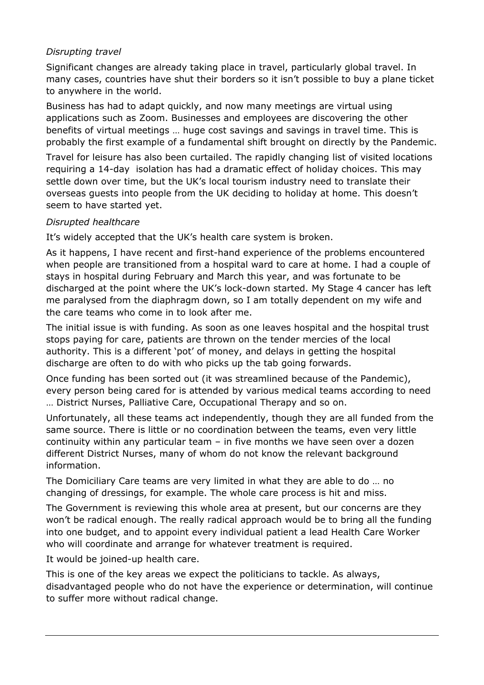## *Disrupting travel*

Significant changes are already taking place in travel, particularly global travel. In many cases, countries have shut their borders so it isn't possible to buy a plane ticket to anywhere in the world.

Business has had to adapt quickly, and now many meetings are virtual using applications such as Zoom. Businesses and employees are discovering the other benefits of virtual meetings … huge cost savings and savings in travel time. This is probably the first example of a fundamental shift brought on directly by the Pandemic.

Travel for leisure has also been curtailed. The rapidly changing list of visited locations requiring a 14-day isolation has had a dramatic effect of holiday choices. This may settle down over time, but the UK's local tourism industry need to translate their overseas guests into people from the UK deciding to holiday at home. This doesn't seem to have started yet.

#### *Disrupted healthcare*

It's widely accepted that the UK's health care system is broken.

As it happens, I have recent and first-hand experience of the problems encountered when people are transitioned from a hospital ward to care at home. I had a couple of stays in hospital during February and March this year, and was fortunate to be discharged at the point where the UK's lock-down started. My Stage 4 cancer has left me paralysed from the diaphragm down, so I am totally dependent on my wife and the care teams who come in to look after me.

The initial issue is with funding. As soon as one leaves hospital and the hospital trust stops paying for care, patients are thrown on the tender mercies of the local authority. This is a different 'pot' of money, and delays in getting the hospital discharge are often to do with who picks up the tab going forwards.

Once funding has been sorted out (it was streamlined because of the Pandemic), every person being cared for is attended by various medical teams according to need … District Nurses, Palliative Care, Occupational Therapy and so on.

Unfortunately, all these teams act independently, though they are all funded from the same source. There is little or no coordination between the teams, even very little continuity within any particular team – in five months we have seen over a dozen different District Nurses, many of whom do not know the relevant background information.

The Domiciliary Care teams are very limited in what they are able to do … no changing of dressings, for example. The whole care process is hit and miss.

The Government is reviewing this whole area at present, but our concerns are they won't be radical enough. The really radical approach would be to bring all the funding into one budget, and to appoint every individual patient a lead Health Care Worker who will coordinate and arrange for whatever treatment is required.

It would be joined-up health care.

This is one of the key areas we expect the politicians to tackle. As always, disadvantaged people who do not have the experience or determination, will continue to suffer more without radical change.